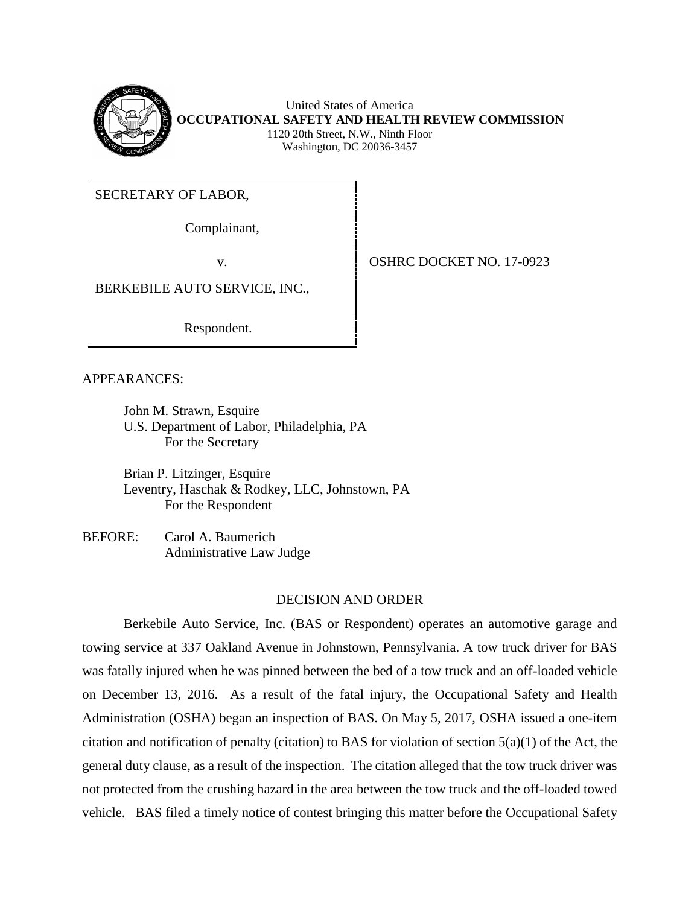

United States of America **OCCUPATIONAL SAFETY AND HEALTH REVIEW COMMISSION** 1120 20th Street, N.W., Ninth Floor Washington, DC 20036-3457

SECRETARY OF LABOR,

Complainant,

v. **COSHRC DOCKET NO. 17-0923** 

BERKEBILE AUTO SERVICE, INC.,

Respondent.

APPEARANCES:

John M. Strawn, Esquire U.S. Department of Labor, Philadelphia, PA For the Secretary

Brian P. Litzinger, Esquire Leventry, Haschak & Rodkey, LLC, Johnstown, PA For the Respondent

BEFORE: Carol A. Baumerich Administrative Law Judge

# DECISION AND ORDER

Berkebile Auto Service, Inc. (BAS or Respondent) operates an automotive garage and towing service at 337 Oakland Avenue in Johnstown, Pennsylvania. A tow truck driver for BAS was fatally injured when he was pinned between the bed of a tow truck and an off-loaded vehicle on December 13, 2016. As a result of the fatal injury, the Occupational Safety and Health Administration (OSHA) began an inspection of BAS. On May 5, 2017, OSHA issued a one-item citation and notification of penalty (citation) to BAS for violation of section  $5(a)(1)$  of the Act, the general duty clause, as a result of the inspection. The citation alleged that the tow truck driver was not protected from the crushing hazard in the area between the tow truck and the off-loaded towed vehicle. BAS filed a timely notice of contest bringing this matter before the Occupational Safety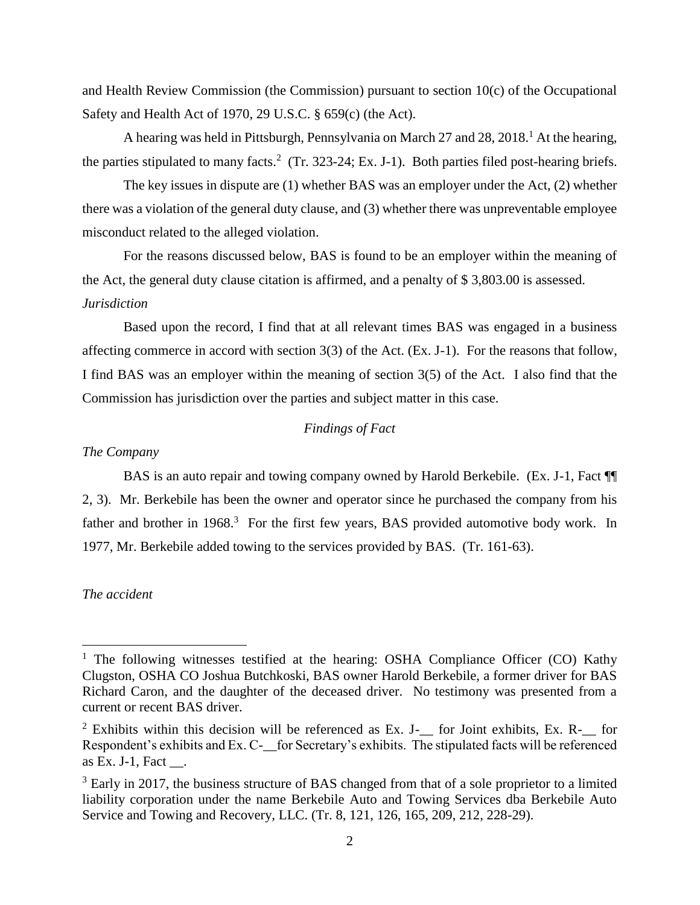and Health Review Commission (the Commission) pursuant to section 10(c) of the Occupational Safety and Health Act of 1970, 29 U.S.C. § 659(c) (the Act).

A hearing was held in Pittsburgh, Pennsylvania on March 27 and 28, 2018.<sup>1</sup> At the hearing, the parties stipulated to many facts.<sup>2</sup> (Tr. 323-24; Ex. J-1). Both parties filed post-hearing briefs.

The key issues in dispute are (1) whether BAS was an employer under the Act, (2) whether there was a violation of the general duty clause, and (3) whether there was unpreventable employee misconduct related to the alleged violation.

For the reasons discussed below, BAS is found to be an employer within the meaning of the Act, the general duty clause citation is affirmed, and a penalty of \$ 3,803.00 is assessed. *Jurisdiction*

Based upon the record, I find that at all relevant times BAS was engaged in a business affecting commerce in accord with section 3(3) of the Act. (Ex. J-1). For the reasons that follow, I find BAS was an employer within the meaning of section 3(5) of the Act*.* I also find that the Commission has jurisdiction over the parties and subject matter in this case.

# *Findings of Fact*

## *The Company*

BAS is an auto repair and towing company owned by Harold Berkebile. (Ex. J-1, Fact ¶¶ 2, 3). Mr. Berkebile has been the owner and operator since he purchased the company from his father and brother in  $1968$ <sup>3</sup>. For the first few years, BAS provided automotive body work. In 1977, Mr. Berkebile added towing to the services provided by BAS. (Tr. 161-63).

## *The accident*

 $\overline{\phantom{a}}$ 

<sup>&</sup>lt;sup>1</sup> The following witnesses testified at the hearing: OSHA Compliance Officer (CO) Kathy Clugston, OSHA CO Joshua Butchkoski, BAS owner Harold Berkebile, a former driver for BAS Richard Caron, and the daughter of the deceased driver. No testimony was presented from a current or recent BAS driver.

 $2$  Exhibits within this decision will be referenced as Ex. J- $\Box$  for Joint exhibits, Ex. R- $\Box$  for Respondent's exhibits and Ex. C-\_\_for Secretary's exhibits. The stipulated facts will be referenced as Ex. J $-1$ , Fact.

<sup>&</sup>lt;sup>3</sup> Early in 2017, the business structure of BAS changed from that of a sole proprietor to a limited liability corporation under the name Berkebile Auto and Towing Services dba Berkebile Auto Service and Towing and Recovery, LLC. (Tr. 8, 121, 126, 165, 209, 212, 228-29).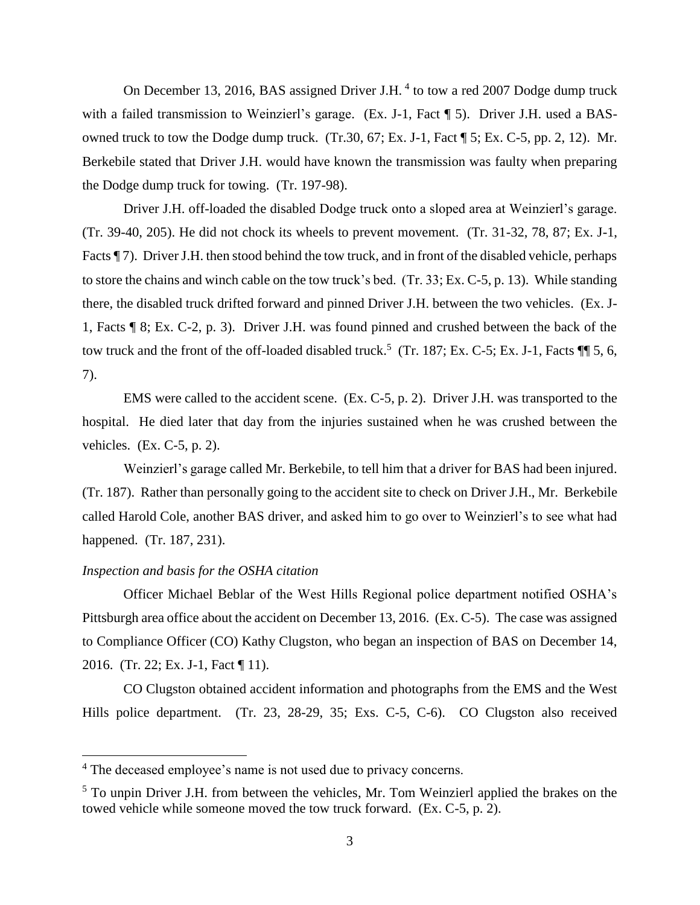On December 13, 2016, BAS assigned Driver J.H.<sup>4</sup> to tow a red 2007 Dodge dump truck with a failed transmission to Weinzierl's garage. (Ex. J-1, Fact  $\P$  5). Driver J.H. used a BASowned truck to tow the Dodge dump truck. (Tr.30, 67; Ex. J-1, Fact ¶ 5; Ex. C-5, pp. 2, 12). Mr. Berkebile stated that Driver J.H. would have known the transmission was faulty when preparing the Dodge dump truck for towing. (Tr. 197-98).

Driver J.H. off-loaded the disabled Dodge truck onto a sloped area at Weinzierl's garage. (Tr. 39-40, 205). He did not chock its wheels to prevent movement. (Tr. 31-32, 78, 87; Ex. J-1, Facts ¶ 7). Driver J.H. then stood behind the tow truck, and in front of the disabled vehicle, perhaps to store the chains and winch cable on the tow truck's bed. (Tr. 33; Ex. C-5, p. 13). While standing there, the disabled truck drifted forward and pinned Driver J.H. between the two vehicles. (Ex. J-1, Facts ¶ 8; Ex. C-2, p. 3). Driver J.H. was found pinned and crushed between the back of the tow truck and the front of the off-loaded disabled truck.<sup>5</sup> (Tr. 187; Ex. C-5; Ex. J-1, Facts  $\P$  5, 6, 7).

EMS were called to the accident scene. (Ex. C-5, p. 2). Driver J.H. was transported to the hospital. He died later that day from the injuries sustained when he was crushed between the vehicles. (Ex. C-5, p. 2).

Weinzierl's garage called Mr. Berkebile, to tell him that a driver for BAS had been injured. (Tr. 187). Rather than personally going to the accident site to check on Driver J.H., Mr. Berkebile called Harold Cole, another BAS driver, and asked him to go over to Weinzierl's to see what had happened. (Tr. 187, 231).

## *Inspection and basis for the OSHA citation*

l

Officer Michael Beblar of the West Hills Regional police department notified OSHA's Pittsburgh area office about the accident on December 13, 2016. (Ex. C-5). The case was assigned to Compliance Officer (CO) Kathy Clugston, who began an inspection of BAS on December 14, 2016. (Tr. 22; Ex. J-1, Fact ¶ 11).

CO Clugston obtained accident information and photographs from the EMS and the West Hills police department. (Tr. 23, 28-29, 35; Exs. C-5, C-6). CO Clugston also received

<sup>&</sup>lt;sup>4</sup> The deceased employee's name is not used due to privacy concerns.

<sup>&</sup>lt;sup>5</sup> To unpin Driver J.H. from between the vehicles, Mr. Tom Weinzierl applied the brakes on the towed vehicle while someone moved the tow truck forward. (Ex. C-5, p. 2).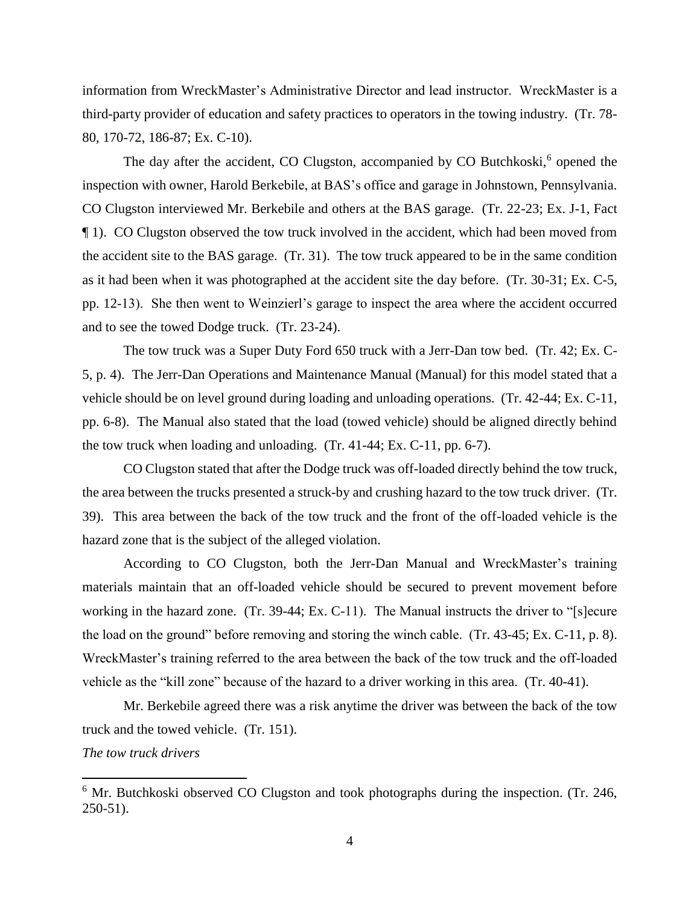information from WreckMaster's Administrative Director and lead instructor. WreckMaster is a third-party provider of education and safety practices to operators in the towing industry. (Tr. 78- 80, 170-72, 186-87; Ex. C-10).

The day after the accident, CO Clugston, accompanied by CO Butchkoski,<sup>6</sup> opened the inspection with owner, Harold Berkebile, at BAS's office and garage in Johnstown, Pennsylvania. CO Clugston interviewed Mr. Berkebile and others at the BAS garage. (Tr. 22-23; Ex. J-1, Fact ¶ 1). CO Clugston observed the tow truck involved in the accident, which had been moved from the accident site to the BAS garage. (Tr. 31). The tow truck appeared to be in the same condition as it had been when it was photographed at the accident site the day before. (Tr. 30-31; Ex. C-5, pp. 12-13). She then went to Weinzierl's garage to inspect the area where the accident occurred and to see the towed Dodge truck. (Tr. 23-24).

The tow truck was a Super Duty Ford 650 truck with a Jerr-Dan tow bed. (Tr. 42; Ex. C-5, p. 4). The Jerr-Dan Operations and Maintenance Manual (Manual) for this model stated that a vehicle should be on level ground during loading and unloading operations. (Tr. 42-44; Ex. C-11, pp. 6-8). The Manual also stated that the load (towed vehicle) should be aligned directly behind the tow truck when loading and unloading. (Tr. 41-44; Ex. C-11, pp. 6-7).

CO Clugston stated that after the Dodge truck was off-loaded directly behind the tow truck, the area between the trucks presented a struck-by and crushing hazard to the tow truck driver. (Tr. 39). This area between the back of the tow truck and the front of the off-loaded vehicle is the hazard zone that is the subject of the alleged violation.

According to CO Clugston, both the Jerr-Dan Manual and WreckMaster's training materials maintain that an off-loaded vehicle should be secured to prevent movement before working in the hazard zone. (Tr. 39-44; Ex. C-11). The Manual instructs the driver to "[s]ecure the load on the ground" before removing and storing the winch cable. (Tr. 43-45; Ex. C-11, p. 8). WreckMaster's training referred to the area between the back of the tow truck and the off-loaded vehicle as the "kill zone" because of the hazard to a driver working in this area. (Tr. 40-41).

Mr. Berkebile agreed there was a risk anytime the driver was between the back of the tow truck and the towed vehicle. (Tr. 151).

*The tow truck drivers*

 $\overline{a}$ 

<sup>&</sup>lt;sup>6</sup> Mr. Butchkoski observed CO Clugston and took photographs during the inspection. (Tr. 246, 250-51).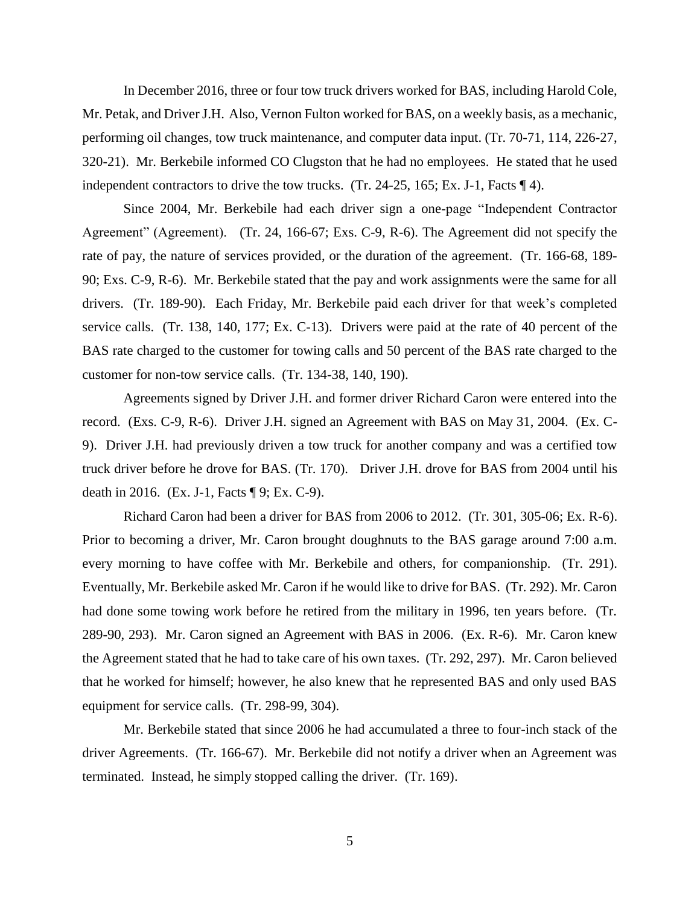In December 2016, three or four tow truck drivers worked for BAS, including Harold Cole, Mr. Petak, and Driver J.H. Also, Vernon Fulton worked for BAS, on a weekly basis, as a mechanic, performing oil changes, tow truck maintenance, and computer data input. (Tr. 70-71, 114, 226-27, 320-21). Mr. Berkebile informed CO Clugston that he had no employees. He stated that he used independent contractors to drive the tow trucks. (Tr. 24-25, 165; Ex. J-1, Facts ¶ 4).

Since 2004, Mr. Berkebile had each driver sign a one-page "Independent Contractor Agreement" (Agreement). (Tr. 24, 166-67; Exs. C-9, R-6). The Agreement did not specify the rate of pay, the nature of services provided, or the duration of the agreement. (Tr. 166-68, 189- 90; Exs. C-9, R-6). Mr. Berkebile stated that the pay and work assignments were the same for all drivers. (Tr. 189-90). Each Friday, Mr. Berkebile paid each driver for that week's completed service calls. (Tr. 138, 140, 177; Ex. C-13). Drivers were paid at the rate of 40 percent of the BAS rate charged to the customer for towing calls and 50 percent of the BAS rate charged to the customer for non-tow service calls. (Tr. 134-38, 140, 190).

Agreements signed by Driver J.H. and former driver Richard Caron were entered into the record. (Exs. C-9, R-6). Driver J.H. signed an Agreement with BAS on May 31, 2004. (Ex. C-9). Driver J.H. had previously driven a tow truck for another company and was a certified tow truck driver before he drove for BAS. (Tr. 170). Driver J.H. drove for BAS from 2004 until his death in 2016. (Ex. J-1, Facts ¶ 9; Ex. C-9).

Richard Caron had been a driver for BAS from 2006 to 2012. (Tr. 301, 305-06; Ex. R-6). Prior to becoming a driver, Mr. Caron brought doughnuts to the BAS garage around 7:00 a.m. every morning to have coffee with Mr. Berkebile and others, for companionship. (Tr. 291). Eventually, Mr. Berkebile asked Mr. Caron if he would like to drive for BAS. (Tr. 292). Mr. Caron had done some towing work before he retired from the military in 1996, ten years before. (Tr. 289-90, 293). Mr. Caron signed an Agreement with BAS in 2006. (Ex. R-6). Mr. Caron knew the Agreement stated that he had to take care of his own taxes. (Tr. 292, 297). Mr. Caron believed that he worked for himself; however, he also knew that he represented BAS and only used BAS equipment for service calls. (Tr. 298-99, 304).

Mr. Berkebile stated that since 2006 he had accumulated a three to four-inch stack of the driver Agreements. (Tr. 166-67). Mr. Berkebile did not notify a driver when an Agreement was terminated. Instead, he simply stopped calling the driver. (Tr. 169).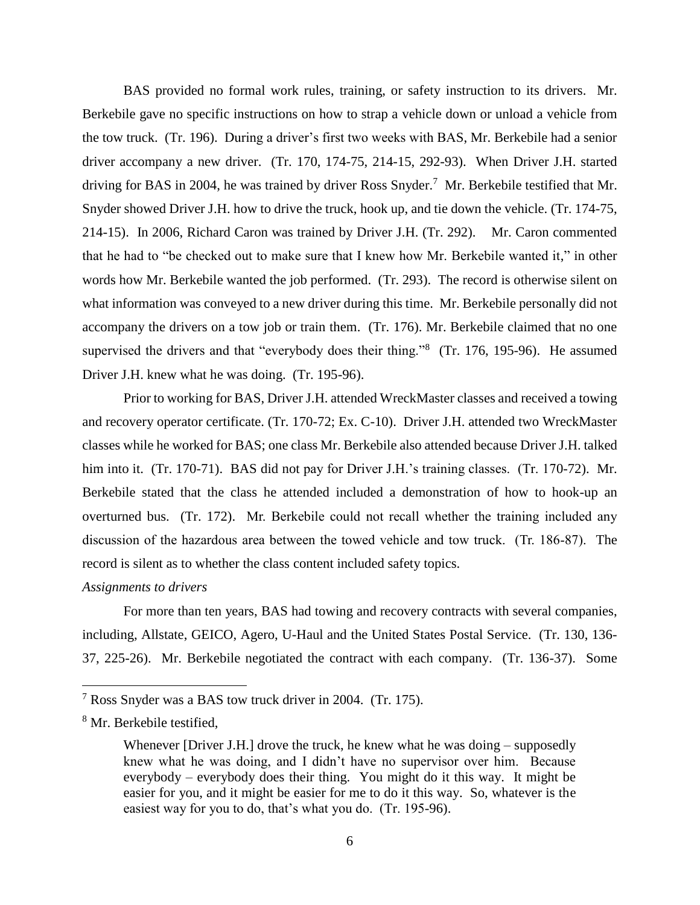BAS provided no formal work rules, training, or safety instruction to its drivers. Mr. Berkebile gave no specific instructions on how to strap a vehicle down or unload a vehicle from the tow truck. (Tr. 196). During a driver's first two weeks with BAS, Mr. Berkebile had a senior driver accompany a new driver. (Tr. 170, 174-75, 214-15, 292-93). When Driver J.H. started driving for BAS in 2004, he was trained by driver Ross Snyder.<sup>7</sup> Mr. Berkebile testified that Mr. Snyder showed Driver J.H. how to drive the truck, hook up, and tie down the vehicle. (Tr. 174-75, 214-15). In 2006, Richard Caron was trained by Driver J.H. (Tr. 292). Mr. Caron commented that he had to "be checked out to make sure that I knew how Mr. Berkebile wanted it," in other words how Mr. Berkebile wanted the job performed. (Tr. 293). The record is otherwise silent on what information was conveyed to a new driver during this time. Mr. Berkebile personally did not accompany the drivers on a tow job or train them. (Tr. 176). Mr. Berkebile claimed that no one supervised the drivers and that "everybody does their thing."<sup>8</sup> (Tr. 176, 195-96). He assumed Driver J.H. knew what he was doing. (Tr. 195-96).

Prior to working for BAS, Driver J.H. attended WreckMaster classes and received a towing and recovery operator certificate. (Tr. 170-72; Ex. C-10). Driver J.H. attended two WreckMaster classes while he worked for BAS; one class Mr. Berkebile also attended because Driver J.H. talked him into it. (Tr. 170-71). BAS did not pay for Driver J.H.'s training classes. (Tr. 170-72). Mr. Berkebile stated that the class he attended included a demonstration of how to hook-up an overturned bus. (Tr. 172). Mr. Berkebile could not recall whether the training included any discussion of the hazardous area between the towed vehicle and tow truck. (Tr. 186-87). The record is silent as to whether the class content included safety topics.

## *Assignments to drivers*

For more than ten years, BAS had towing and recovery contracts with several companies, including, Allstate, GEICO, Agero, U-Haul and the United States Postal Service. (Tr. 130, 136- 37, 225-26). Mr. Berkebile negotiated the contract with each company. (Tr. 136-37). Some

 $\overline{a}$ 

 $7$  Ross Snyder was a BAS tow truck driver in 2004. (Tr. 175).

<sup>8</sup> Mr. Berkebile testified,

Whenever [Driver J.H.] drove the truck, he knew what he was doing – supposedly knew what he was doing, and I didn't have no supervisor over him. Because everybody – everybody does their thing. You might do it this way. It might be easier for you, and it might be easier for me to do it this way. So, whatever is the easiest way for you to do, that's what you do. (Tr. 195-96).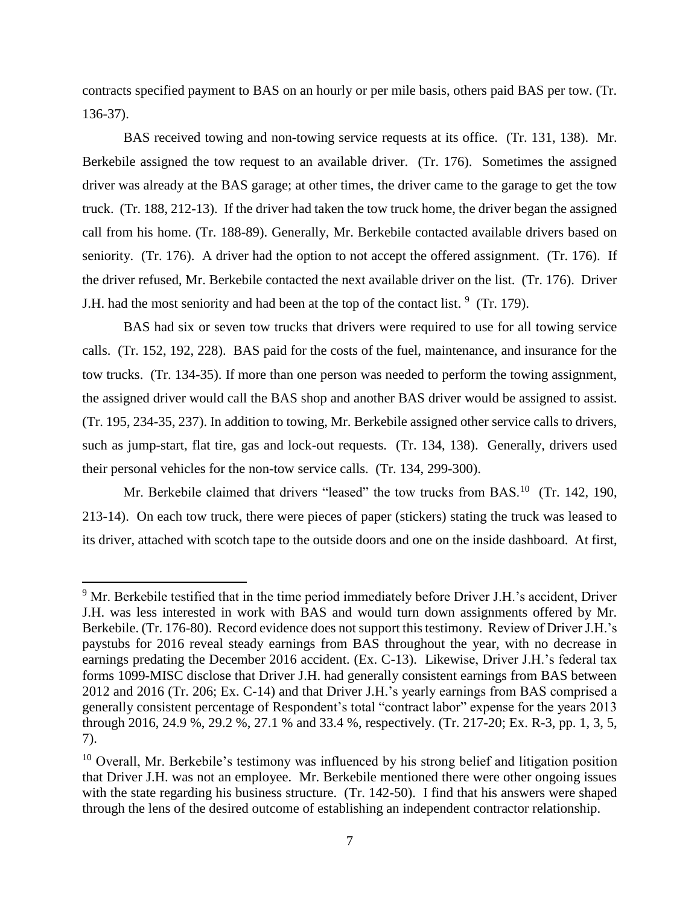contracts specified payment to BAS on an hourly or per mile basis, others paid BAS per tow. (Tr. 136-37).

BAS received towing and non-towing service requests at its office. (Tr. 131, 138). Mr. Berkebile assigned the tow request to an available driver. (Tr. 176). Sometimes the assigned driver was already at the BAS garage; at other times, the driver came to the garage to get the tow truck. (Tr. 188, 212-13). If the driver had taken the tow truck home, the driver began the assigned call from his home. (Tr. 188-89). Generally, Mr. Berkebile contacted available drivers based on seniority. (Tr. 176). A driver had the option to not accept the offered assignment. (Tr. 176). If the driver refused, Mr. Berkebile contacted the next available driver on the list. (Tr. 176). Driver J.H. had the most seniority and had been at the top of the contact list.  $9$  (Tr. 179).

BAS had six or seven tow trucks that drivers were required to use for all towing service calls. (Tr. 152, 192, 228). BAS paid for the costs of the fuel, maintenance, and insurance for the tow trucks. (Tr. 134-35). If more than one person was needed to perform the towing assignment, the assigned driver would call the BAS shop and another BAS driver would be assigned to assist. (Tr. 195, 234-35, 237). In addition to towing, Mr. Berkebile assigned other service calls to drivers, such as jump-start, flat tire, gas and lock-out requests. (Tr. 134, 138). Generally, drivers used their personal vehicles for the non-tow service calls. (Tr. 134, 299-300).

Mr. Berkebile claimed that drivers "leased" the tow trucks from BAS.<sup>10</sup> (Tr. 142, 190, 213-14). On each tow truck, there were pieces of paper (stickers) stating the truck was leased to its driver, attached with scotch tape to the outside doors and one on the inside dashboard. At first,

l

<sup>&</sup>lt;sup>9</sup> Mr. Berkebile testified that in the time period immediately before Driver J.H.'s accident, Driver J.H. was less interested in work with BAS and would turn down assignments offered by Mr. Berkebile. (Tr. 176-80). Record evidence does not support this testimony. Review of Driver J.H.'s paystubs for 2016 reveal steady earnings from BAS throughout the year, with no decrease in earnings predating the December 2016 accident. (Ex. C-13). Likewise, Driver J.H.'s federal tax forms 1099-MISC disclose that Driver J.H. had generally consistent earnings from BAS between 2012 and 2016 (Tr. 206; Ex. C-14) and that Driver J.H.'s yearly earnings from BAS comprised a generally consistent percentage of Respondent's total "contract labor" expense for the years 2013 through 2016, 24.9 %, 29.2 %, 27.1 % and 33.4 %, respectively. (Tr. 217-20; Ex. R-3, pp. 1, 3, 5, 7).

<sup>&</sup>lt;sup>10</sup> Overall, Mr. Berkebile's testimony was influenced by his strong belief and litigation position that Driver J.H. was not an employee. Mr. Berkebile mentioned there were other ongoing issues with the state regarding his business structure. (Tr. 142-50). I find that his answers were shaped through the lens of the desired outcome of establishing an independent contractor relationship.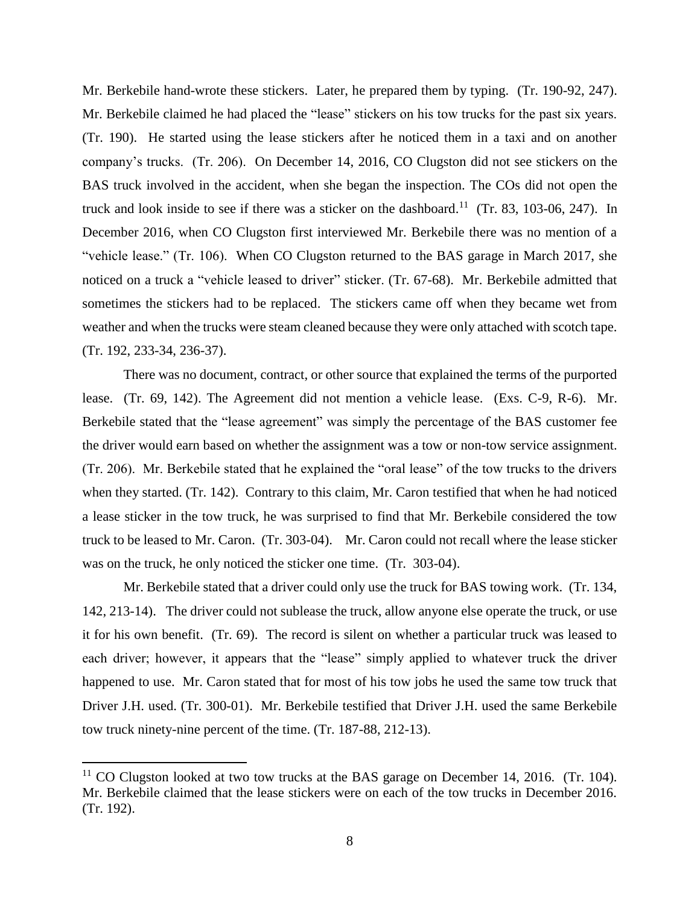Mr. Berkebile hand-wrote these stickers. Later, he prepared them by typing. (Tr. 190-92, 247). Mr. Berkebile claimed he had placed the "lease" stickers on his tow trucks for the past six years. (Tr. 190). He started using the lease stickers after he noticed them in a taxi and on another company's trucks. (Tr. 206). On December 14, 2016, CO Clugston did not see stickers on the BAS truck involved in the accident, when she began the inspection. The COs did not open the truck and look inside to see if there was a sticker on the dashboard.<sup>11</sup> (Tr. 83, 103-06, 247). In December 2016, when CO Clugston first interviewed Mr. Berkebile there was no mention of a "vehicle lease." (Tr. 106). When CO Clugston returned to the BAS garage in March 2017, she noticed on a truck a "vehicle leased to driver" sticker. (Tr. 67-68). Mr. Berkebile admitted that sometimes the stickers had to be replaced. The stickers came off when they became wet from weather and when the trucks were steam cleaned because they were only attached with scotch tape. (Tr. 192, 233-34, 236-37).

There was no document, contract, or other source that explained the terms of the purported lease. (Tr. 69, 142). The Agreement did not mention a vehicle lease. (Exs. C-9, R-6). Mr. Berkebile stated that the "lease agreement" was simply the percentage of the BAS customer fee the driver would earn based on whether the assignment was a tow or non-tow service assignment. (Tr. 206). Mr. Berkebile stated that he explained the "oral lease" of the tow trucks to the drivers when they started. (Tr. 142). Contrary to this claim, Mr. Caron testified that when he had noticed a lease sticker in the tow truck, he was surprised to find that Mr. Berkebile considered the tow truck to be leased to Mr. Caron. (Tr. 303-04). Mr. Caron could not recall where the lease sticker was on the truck, he only noticed the sticker one time. (Tr. 303-04).

Mr. Berkebile stated that a driver could only use the truck for BAS towing work. (Tr. 134, 142, 213-14). The driver could not sublease the truck, allow anyone else operate the truck, or use it for his own benefit. (Tr. 69). The record is silent on whether a particular truck was leased to each driver; however, it appears that the "lease" simply applied to whatever truck the driver happened to use. Mr. Caron stated that for most of his tow jobs he used the same tow truck that Driver J.H. used. (Tr. 300-01). Mr. Berkebile testified that Driver J.H. used the same Berkebile tow truck ninety-nine percent of the time. (Tr. 187-88, 212-13).

l

 $11$  CO Clugston looked at two tow trucks at the BAS garage on December 14, 2016. (Tr. 104). Mr. Berkebile claimed that the lease stickers were on each of the tow trucks in December 2016. (Tr. 192).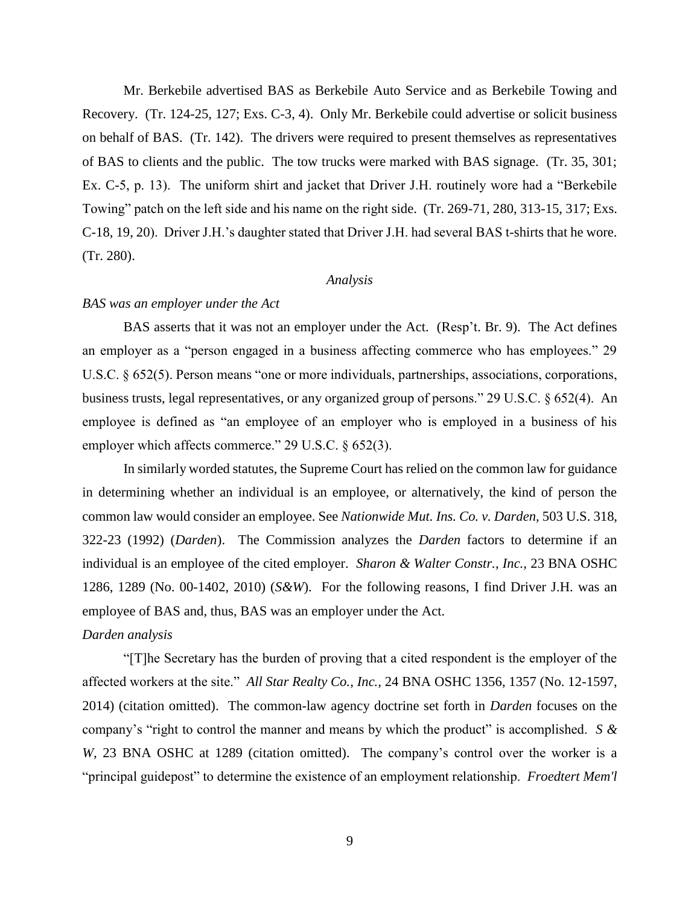Mr. Berkebile advertised BAS as Berkebile Auto Service and as Berkebile Towing and Recovery. (Tr. 124-25, 127; Exs. C-3, 4). Only Mr. Berkebile could advertise or solicit business on behalf of BAS. (Tr. 142). The drivers were required to present themselves as representatives of BAS to clients and the public. The tow trucks were marked with BAS signage. (Tr. 35, 301; Ex. C-5, p. 13). The uniform shirt and jacket that Driver J.H. routinely wore had a "Berkebile Towing" patch on the left side and his name on the right side. (Tr. 269-71, 280, 313-15, 317; Exs. C-18, 19, 20). Driver J.H.'s daughter stated that Driver J.H. had several BAS t-shirts that he wore. (Tr. 280).

### *Analysis*

## *BAS was an employer under the Act*

BAS asserts that it was not an employer under the Act. (Resp't. Br. 9). The Act defines an employer as a "person engaged in a business affecting commerce who has employees." 29 U.S.C. § 652(5). Person means "one or more individuals, partnerships, associations, corporations, business trusts, legal representatives, or any organized group of persons." 29 U.S.C. § 652(4). An employee is defined as "an employee of an employer who is employed in a business of his employer which affects commerce." 29 U.S.C. § 652(3).

In similarly worded statutes, the Supreme Court has relied on the common law for guidance in determining whether an individual is an employee, or alternatively, the kind of person the common law would consider an employee. See *Nationwide Mut. Ins. Co. v. Darden,* 503 U.S. 318, 322-23 (1992) (*Darden*). The Commission analyzes the *Darden* factors to determine if an individual is an employee of the cited employer. *Sharon & Walter Constr., Inc.,* 23 BNA OSHC 1286, 1289 (No. 00-1402, 2010) (*S&W*). For the following reasons, I find Driver J.H. was an employee of BAS and, thus, BAS was an employer under the Act.

# *Darden analysis*

"[T]he Secretary has the burden of proving that a cited respondent is the employer of the affected workers at the site." *All Star Realty Co., Inc.,* 24 BNA OSHC 1356, 1357 (No. 12-1597, 2014) (citation omitted). The common-law agency doctrine set forth in *Darden* focuses on the company's "right to control the manner and means by which the product" is accomplished. *S & W,* 23 BNA OSHC at 1289 (citation omitted). The company's control over the worker is a "principal guidepost" to determine the existence of an employment relationship. *Froedtert Mem'l*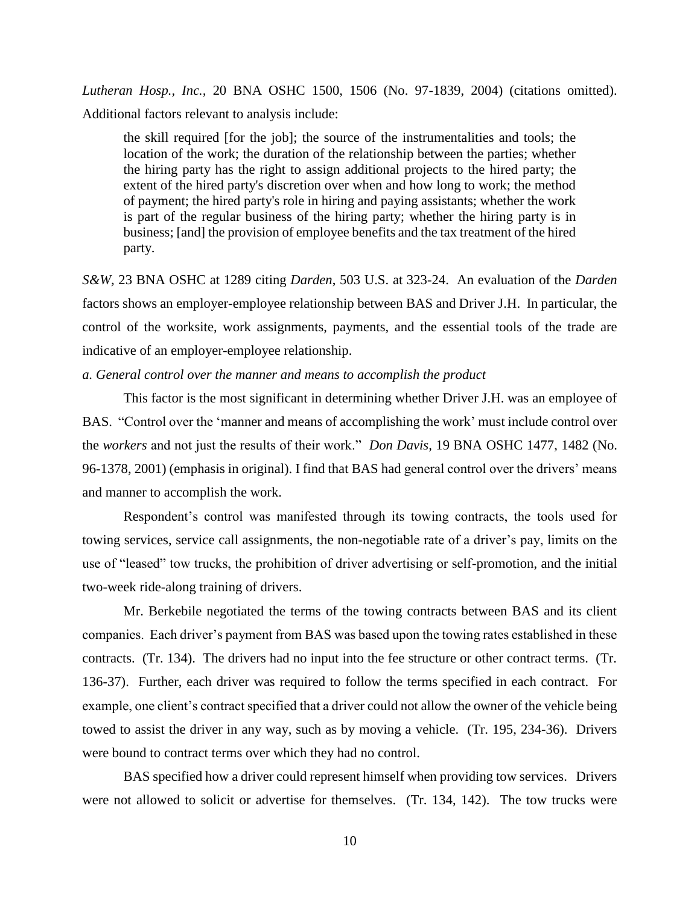*Lutheran Hosp., Inc.,* 20 BNA OSHC 1500, 1506 (No. 97-1839, 2004) (citations omitted). Additional factors relevant to analysis include:

the skill required [for the job]; the source of the instrumentalities and tools; the location of the work; the duration of the relationship between the parties; whether the hiring party has the right to assign additional projects to the hired party; the extent of the hired party's discretion over when and how long to work; the method of payment; the hired party's role in hiring and paying assistants; whether the work is part of the regular business of the hiring party; whether the hiring party is in business; [and] the provision of employee benefits and the tax treatment of the hired party.

*S&W,* 23 BNA OSHC at 1289 citing *Darden*, 503 U.S. at 323-24. An evaluation of the *Darden* factors shows an employer-employee relationship between BAS and Driver J.H. In particular, the control of the worksite, work assignments, payments, and the essential tools of the trade are indicative of an employer-employee relationship.

# *a. General control over the manner and means to accomplish the product*

This factor is the most significant in determining whether Driver J.H. was an employee of BAS. "Control over the 'manner and means of accomplishing the work' must include control over the *workers* and not just the results of their work." *Don Davis,* 19 BNA OSHC 1477, 1482 (No. 96-1378, 2001) (emphasis in original). I find that BAS had general control over the drivers' means and manner to accomplish the work.

Respondent's control was manifested through its towing contracts, the tools used for towing services, service call assignments, the non-negotiable rate of a driver's pay, limits on the use of "leased" tow trucks, the prohibition of driver advertising or self-promotion, and the initial two-week ride-along training of drivers.

Mr. Berkebile negotiated the terms of the towing contracts between BAS and its client companies. Each driver's payment from BAS was based upon the towing rates established in these contracts. (Tr. 134). The drivers had no input into the fee structure or other contract terms. (Tr. 136-37). Further, each driver was required to follow the terms specified in each contract. For example, one client's contract specified that a driver could not allow the owner of the vehicle being towed to assist the driver in any way, such as by moving a vehicle. (Tr. 195, 234-36). Drivers were bound to contract terms over which they had no control.

BAS specified how a driver could represent himself when providing tow services. Drivers were not allowed to solicit or advertise for themselves. (Tr. 134, 142). The tow trucks were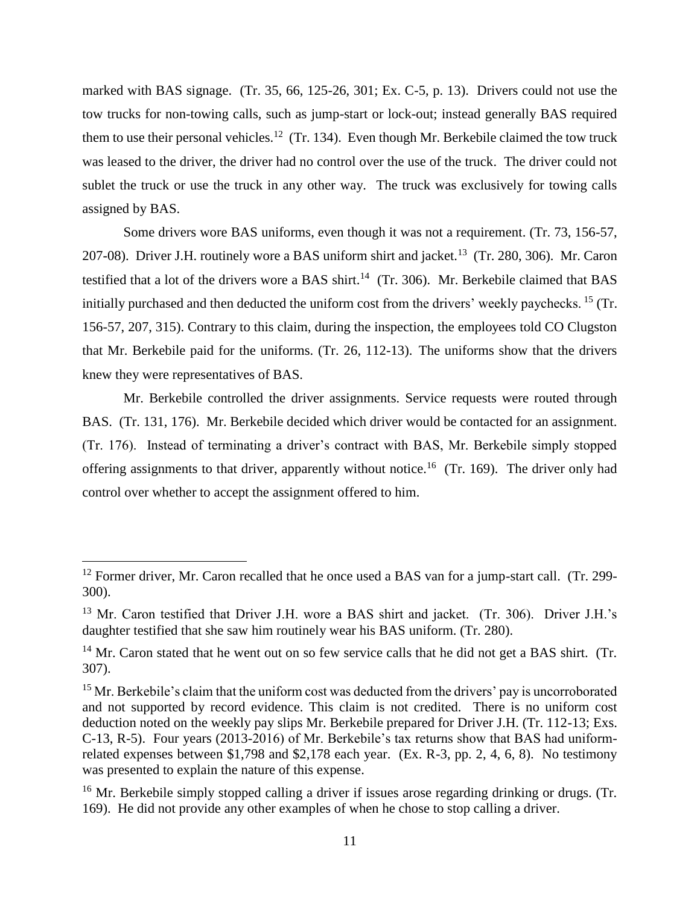marked with BAS signage. (Tr. 35, 66, 125-26, 301; Ex. C-5, p. 13). Drivers could not use the tow trucks for non-towing calls, such as jump-start or lock-out; instead generally BAS required them to use their personal vehicles.<sup>12</sup> (Tr. 134). Even though Mr. Berkebile claimed the tow truck was leased to the driver, the driver had no control over the use of the truck. The driver could not sublet the truck or use the truck in any other way. The truck was exclusively for towing calls assigned by BAS.

Some drivers wore BAS uniforms, even though it was not a requirement. (Tr. 73, 156-57, 207-08). Driver J.H. routinely wore a BAS uniform shirt and jacket.<sup>13</sup> (Tr. 280, 306). Mr. Caron testified that a lot of the drivers wore a BAS shirt.<sup>14</sup> (Tr. 306). Mr. Berkebile claimed that BAS initially purchased and then deducted the uniform cost from the drivers' weekly paychecks. <sup>15</sup> (Tr. 156-57, 207, 315). Contrary to this claim, during the inspection, the employees told CO Clugston that Mr. Berkebile paid for the uniforms. (Tr. 26, 112-13). The uniforms show that the drivers knew they were representatives of BAS.

Mr. Berkebile controlled the driver assignments. Service requests were routed through BAS. (Tr. 131, 176). Mr. Berkebile decided which driver would be contacted for an assignment. (Tr. 176). Instead of terminating a driver's contract with BAS, Mr. Berkebile simply stopped offering assignments to that driver, apparently without notice.<sup>16</sup> (Tr. 169). The driver only had control over whether to accept the assignment offered to him.

l

 $12$  Former driver, Mr. Caron recalled that he once used a BAS van for a jump-start call. (Tr. 299-300).

<sup>&</sup>lt;sup>13</sup> Mr. Caron testified that Driver J.H. wore a BAS shirt and jacket. (Tr. 306). Driver J.H.'s daughter testified that she saw him routinely wear his BAS uniform. (Tr. 280).

 $14$  Mr. Caron stated that he went out on so few service calls that he did not get a BAS shirt. (Tr. 307).

 $15$  Mr. Berkebile's claim that the uniform cost was deducted from the drivers' pay is uncorroborated and not supported by record evidence. This claim is not credited. There is no uniform cost deduction noted on the weekly pay slips Mr. Berkebile prepared for Driver J.H. (Tr. 112-13; Exs. C-13, R-5). Four years (2013-2016) of Mr. Berkebile's tax returns show that BAS had uniformrelated expenses between \$1,798 and \$2,178 each year. (Ex. R-3, pp. 2, 4, 6, 8). No testimony was presented to explain the nature of this expense.

<sup>&</sup>lt;sup>16</sup> Mr. Berkebile simply stopped calling a driver if issues arose regarding drinking or drugs. (Tr. 169). He did not provide any other examples of when he chose to stop calling a driver.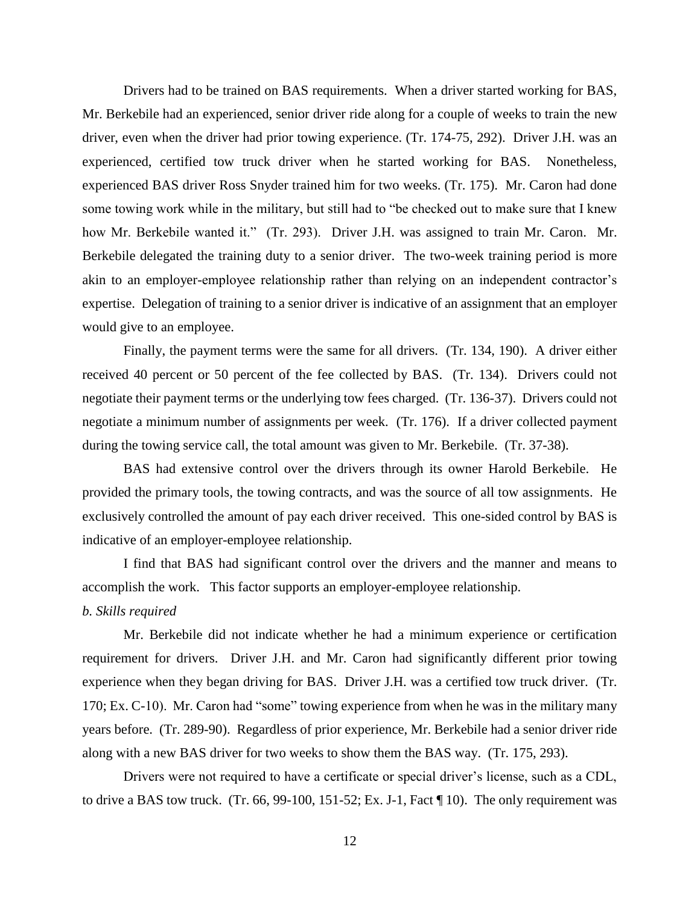Drivers had to be trained on BAS requirements. When a driver started working for BAS, Mr. Berkebile had an experienced, senior driver ride along for a couple of weeks to train the new driver, even when the driver had prior towing experience. (Tr. 174-75, 292). Driver J.H. was an experienced, certified tow truck driver when he started working for BAS. Nonetheless, experienced BAS driver Ross Snyder trained him for two weeks. (Tr. 175). Mr. Caron had done some towing work while in the military, but still had to "be checked out to make sure that I knew how Mr. Berkebile wanted it." (Tr. 293). Driver J.H. was assigned to train Mr. Caron. Mr. Berkebile delegated the training duty to a senior driver. The two-week training period is more akin to an employer-employee relationship rather than relying on an independent contractor's expertise. Delegation of training to a senior driver is indicative of an assignment that an employer would give to an employee.

Finally, the payment terms were the same for all drivers. (Tr. 134, 190). A driver either received 40 percent or 50 percent of the fee collected by BAS. (Tr. 134). Drivers could not negotiate their payment terms or the underlying tow fees charged. (Tr. 136-37). Drivers could not negotiate a minimum number of assignments per week. (Tr. 176). If a driver collected payment during the towing service call, the total amount was given to Mr. Berkebile. (Tr. 37-38).

BAS had extensive control over the drivers through its owner Harold Berkebile. He provided the primary tools, the towing contracts, and was the source of all tow assignments. He exclusively controlled the amount of pay each driver received. This one-sided control by BAS is indicative of an employer-employee relationship.

I find that BAS had significant control over the drivers and the manner and means to accomplish the work. This factor supports an employer-employee relationship. *b. Skills required*

Mr. Berkebile did not indicate whether he had a minimum experience or certification requirement for drivers. Driver J.H. and Mr. Caron had significantly different prior towing experience when they began driving for BAS. Driver J.H. was a certified tow truck driver. (Tr. 170; Ex. C-10). Mr. Caron had "some" towing experience from when he was in the military many years before. (Tr. 289-90). Regardless of prior experience, Mr. Berkebile had a senior driver ride along with a new BAS driver for two weeks to show them the BAS way. (Tr. 175, 293).

Drivers were not required to have a certificate or special driver's license, such as a CDL, to drive a BAS tow truck. (Tr. 66, 99-100, 151-52; Ex. J-1, Fact ¶ 10). The only requirement was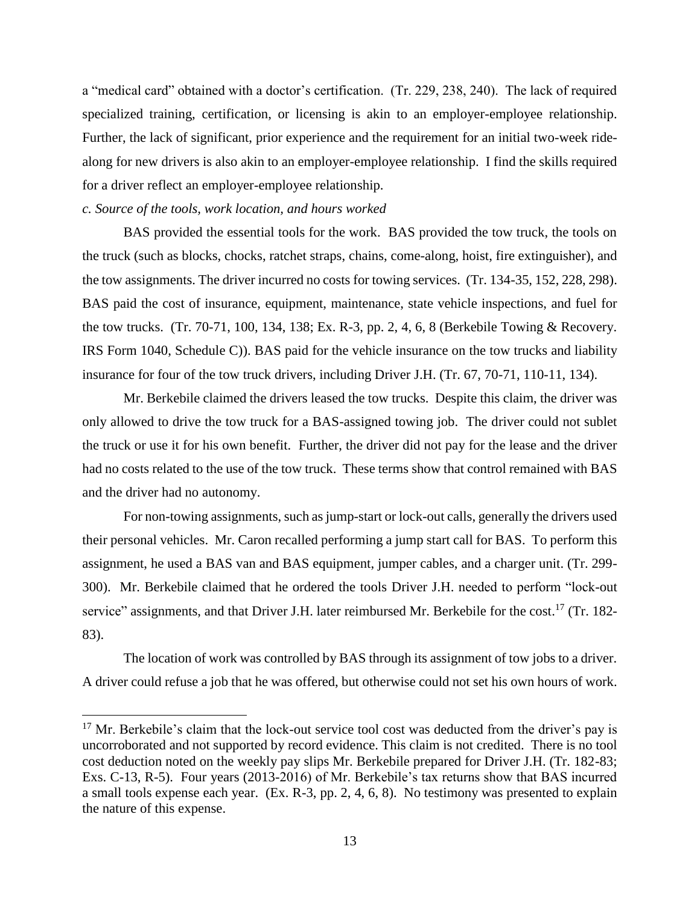a "medical card" obtained with a doctor's certification. (Tr. 229, 238, 240). The lack of required specialized training, certification, or licensing is akin to an employer-employee relationship. Further, the lack of significant, prior experience and the requirement for an initial two-week ridealong for new drivers is also akin to an employer-employee relationship. I find the skills required for a driver reflect an employer-employee relationship.

## *c. Source of the tools, work location, and hours worked*

 $\overline{\phantom{a}}$ 

BAS provided the essential tools for the work. BAS provided the tow truck, the tools on the truck (such as blocks, chocks, ratchet straps, chains, come-along, hoist, fire extinguisher), and the tow assignments. The driver incurred no costs for towing services. (Tr. 134-35, 152, 228, 298). BAS paid the cost of insurance, equipment, maintenance, state vehicle inspections, and fuel for the tow trucks. (Tr. 70-71, 100, 134, 138; Ex. R-3, pp. 2, 4, 6, 8 (Berkebile Towing & Recovery. IRS Form 1040, Schedule C)). BAS paid for the vehicle insurance on the tow trucks and liability insurance for four of the tow truck drivers, including Driver J.H. (Tr. 67, 70-71, 110-11, 134).

Mr. Berkebile claimed the drivers leased the tow trucks. Despite this claim, the driver was only allowed to drive the tow truck for a BAS-assigned towing job. The driver could not sublet the truck or use it for his own benefit. Further, the driver did not pay for the lease and the driver had no costs related to the use of the tow truck. These terms show that control remained with BAS and the driver had no autonomy.

For non-towing assignments, such as jump-start or lock-out calls, generally the drivers used their personal vehicles. Mr. Caron recalled performing a jump start call for BAS. To perform this assignment, he used a BAS van and BAS equipment, jumper cables, and a charger unit. (Tr. 299- 300). Mr. Berkebile claimed that he ordered the tools Driver J.H. needed to perform "lock-out service" assignments, and that Driver J.H. later reimbursed Mr. Berkebile for the cost.<sup>17</sup> (Tr. 182-83).

The location of work was controlled by BAS through its assignment of tow jobs to a driver. A driver could refuse a job that he was offered, but otherwise could not set his own hours of work.

<sup>&</sup>lt;sup>17</sup> Mr. Berkebile's claim that the lock-out service tool cost was deducted from the driver's pay is uncorroborated and not supported by record evidence. This claim is not credited. There is no tool cost deduction noted on the weekly pay slips Mr. Berkebile prepared for Driver J.H. (Tr. 182-83; Exs. C-13, R-5). Four years (2013-2016) of Mr. Berkebile's tax returns show that BAS incurred a small tools expense each year. (Ex. R-3, pp. 2, 4, 6, 8). No testimony was presented to explain the nature of this expense.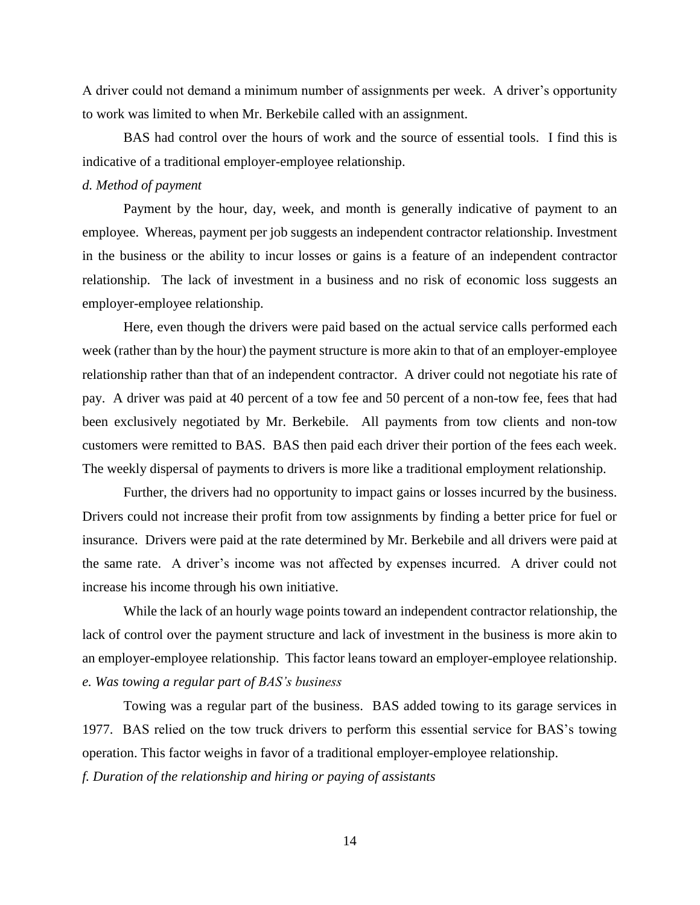A driver could not demand a minimum number of assignments per week. A driver's opportunity to work was limited to when Mr. Berkebile called with an assignment.

BAS had control over the hours of work and the source of essential tools. I find this is indicative of a traditional employer-employee relationship.

### *d. Method of payment*

Payment by the hour, day, week, and month is generally indicative of payment to an employee. Whereas, payment per job suggests an independent contractor relationship. Investment in the business or the ability to incur losses or gains is a feature of an independent contractor relationship. The lack of investment in a business and no risk of economic loss suggests an employer-employee relationship.

Here, even though the drivers were paid based on the actual service calls performed each week (rather than by the hour) the payment structure is more akin to that of an employer-employee relationship rather than that of an independent contractor. A driver could not negotiate his rate of pay. A driver was paid at 40 percent of a tow fee and 50 percent of a non-tow fee, fees that had been exclusively negotiated by Mr. Berkebile. All payments from tow clients and non-tow customers were remitted to BAS. BAS then paid each driver their portion of the fees each week. The weekly dispersal of payments to drivers is more like a traditional employment relationship.

Further, the drivers had no opportunity to impact gains or losses incurred by the business. Drivers could not increase their profit from tow assignments by finding a better price for fuel or insurance. Drivers were paid at the rate determined by Mr. Berkebile and all drivers were paid at the same rate. A driver's income was not affected by expenses incurred. A driver could not increase his income through his own initiative.

While the lack of an hourly wage points toward an independent contractor relationship, the lack of control over the payment structure and lack of investment in the business is more akin to an employer-employee relationship. This factor leans toward an employer-employee relationship. *e. Was towing a regular part of BAS's business*

Towing was a regular part of the business. BAS added towing to its garage services in 1977. BAS relied on the tow truck drivers to perform this essential service for BAS's towing operation. This factor weighs in favor of a traditional employer-employee relationship. *f. Duration of the relationship and hiring or paying of assistants*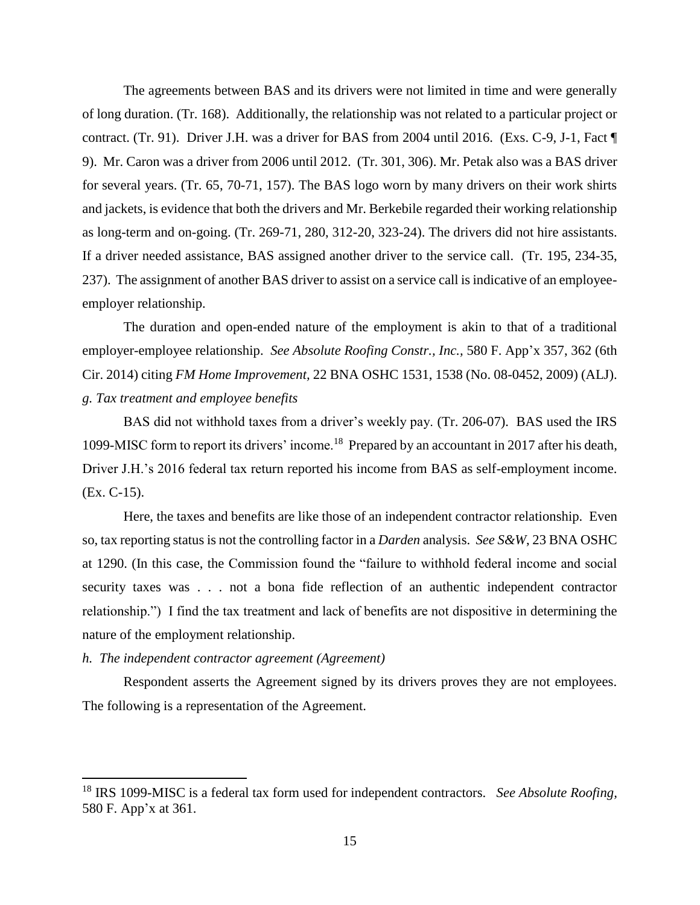The agreements between BAS and its drivers were not limited in time and were generally of long duration. (Tr. 168). Additionally, the relationship was not related to a particular project or contract. (Tr. 91). Driver J.H. was a driver for BAS from 2004 until 2016. (Exs. C-9, J-1, Fact ¶ 9). Mr. Caron was a driver from 2006 until 2012. (Tr. 301, 306). Mr. Petak also was a BAS driver for several years. (Tr. 65, 70-71, 157). The BAS logo worn by many drivers on their work shirts and jackets, is evidence that both the drivers and Mr. Berkebile regarded their working relationship as long-term and on-going. (Tr. 269-71, 280, 312-20, 323-24). The drivers did not hire assistants. If a driver needed assistance, BAS assigned another driver to the service call. (Tr. 195, 234-35, 237). The assignment of another BAS driver to assist on a service call is indicative of an employeeemployer relationship.

The duration and open-ended nature of the employment is akin to that of a traditional employer-employee relationship. *See Absolute Roofing Constr., Inc.,* 580 F. App'x 357, 362 (6th Cir. 2014) citing *FM Home Improvement,* 22 BNA OSHC 1531, 1538 (No. 08-0452, 2009) (ALJ). *g. Tax treatment and employee benefits*

BAS did not withhold taxes from a driver's weekly pay. (Tr. 206-07). BAS used the IRS 1099-MISC form to report its drivers' income.<sup>18</sup> Prepared by an accountant in 2017 after his death, Driver J.H.'s 2016 federal tax return reported his income from BAS as self-employment income. (Ex. C-15).

Here, the taxes and benefits are like those of an independent contractor relationship. Even so, tax reporting status is not the controlling factor in a *Darden* analysis. *See S&W*, 23 BNA OSHC at 1290. (In this case, the Commission found the "failure to withhold federal income and social security taxes was . . . not a bona fide reflection of an authentic independent contractor relationship.") I find the tax treatment and lack of benefits are not dispositive in determining the nature of the employment relationship.

#### *h. The independent contractor agreement (Agreement)*

 $\overline{a}$ 

Respondent asserts the Agreement signed by its drivers proves they are not employees. The following is a representation of the Agreement.

<sup>18</sup> IRS 1099-MISC is a federal tax form used for independent contractors. *See Absolute Roofing,*  580 F. App'x at 361.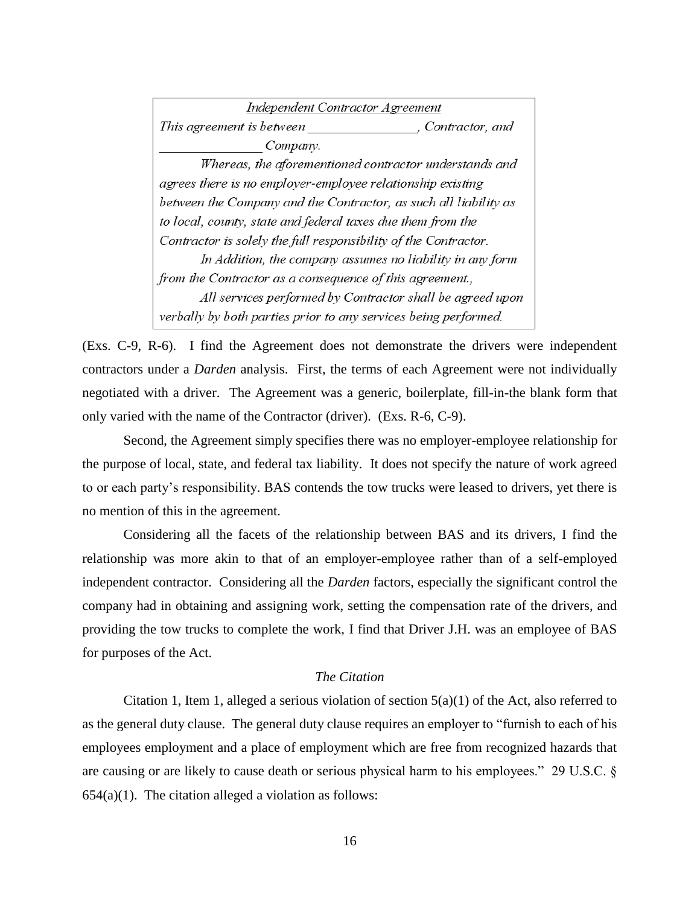Independent Contractor Agreement This agreement is between , Contractor, and Company. Whereas, the aforementioned contractor understands and agrees there is no employer-employee relationship existing between the Company and the Contractor, as such all liability as to local, county, state and federal taxes due them from the Contractor is solely the full responsibility of the Contractor. In Addition, the company assumes no liability in any form from the Contractor as a consequence of this agreement., All services performed by Contractor shall be agreed upon verbally by both parties prior to any services being performed.

(Exs. C-9, R-6). I find the Agreement does not demonstrate the drivers were independent contractors under a *Darden* analysis. First, the terms of each Agreement were not individually negotiated with a driver. The Agreement was a generic, boilerplate, fill-in-the blank form that only varied with the name of the Contractor (driver). (Exs. R-6, C-9).

Second, the Agreement simply specifies there was no employer-employee relationship for the purpose of local, state, and federal tax liability. It does not specify the nature of work agreed to or each party's responsibility. BAS contends the tow trucks were leased to drivers, yet there is no mention of this in the agreement.

Considering all the facets of the relationship between BAS and its drivers, I find the relationship was more akin to that of an employer-employee rather than of a self-employed independent contractor. Considering all the *Darden* factors, especially the significant control the company had in obtaining and assigning work, setting the compensation rate of the drivers, and providing the tow trucks to complete the work, I find that Driver J.H. was an employee of BAS for purposes of the Act.

### *The Citation*

Citation 1, Item 1, alleged a serious violation of section  $5(a)(1)$  of the Act, also referred to as the general duty clause. The general duty clause requires an employer to "furnish to each of his employees employment and a place of employment which are free from recognized hazards that are causing or are likely to cause death or serious physical harm to his employees." 29 U.S.C. §  $654(a)(1)$ . The citation alleged a violation as follows: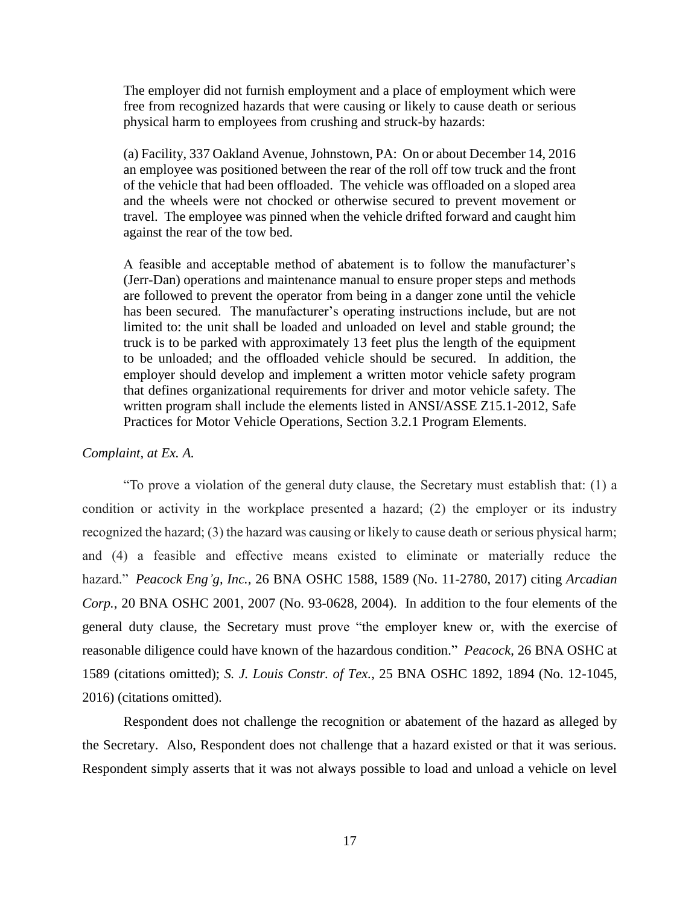The employer did not furnish employment and a place of employment which were free from recognized hazards that were causing or likely to cause death or serious physical harm to employees from crushing and struck-by hazards:

(a) Facility, 337 Oakland Avenue, Johnstown, PA: On or about December 14, 2016 an employee was positioned between the rear of the roll off tow truck and the front of the vehicle that had been offloaded. The vehicle was offloaded on a sloped area and the wheels were not chocked or otherwise secured to prevent movement or travel. The employee was pinned when the vehicle drifted forward and caught him against the rear of the tow bed.

A feasible and acceptable method of abatement is to follow the manufacturer's (Jerr-Dan) operations and maintenance manual to ensure proper steps and methods are followed to prevent the operator from being in a danger zone until the vehicle has been secured. The manufacturer's operating instructions include, but are not limited to: the unit shall be loaded and unloaded on level and stable ground; the truck is to be parked with approximately 13 feet plus the length of the equipment to be unloaded; and the offloaded vehicle should be secured. In addition, the employer should develop and implement a written motor vehicle safety program that defines organizational requirements for driver and motor vehicle safety. The written program shall include the elements listed in ANSI/ASSE Z15.1-2012, Safe Practices for Motor Vehicle Operations, Section 3.2.1 Program Elements.

### *Complaint, at Ex. A.*

"To prove a violation of the general duty clause, the Secretary must establish that: (1) a condition or activity in the workplace presented a hazard; (2) the employer or its industry recognized the hazard; (3) the hazard was causing or likely to cause death or serious physical harm; and (4) a feasible and effective means existed to eliminate or materially reduce the hazard." *Peacock Eng'g, Inc.,* 26 BNA OSHC 1588, 1589 (No. 11-2780, 2017) citing *Arcadian Corp.*, 20 BNA OSHC 2001, 2007 (No. 93-0628, 2004). In addition to the four elements of the general duty clause, the Secretary must prove "the employer knew or, with the exercise of reasonable diligence could have known of the hazardous condition." *Peacock*, 26 BNA OSHC at 1589 (citations omitted); *S. J. Louis Constr. of Tex.,* 25 BNA OSHC 1892, 1894 (No. 12-1045, 2016) (citations omitted).

Respondent does not challenge the recognition or abatement of the hazard as alleged by the Secretary. Also, Respondent does not challenge that a hazard existed or that it was serious. Respondent simply asserts that it was not always possible to load and unload a vehicle on level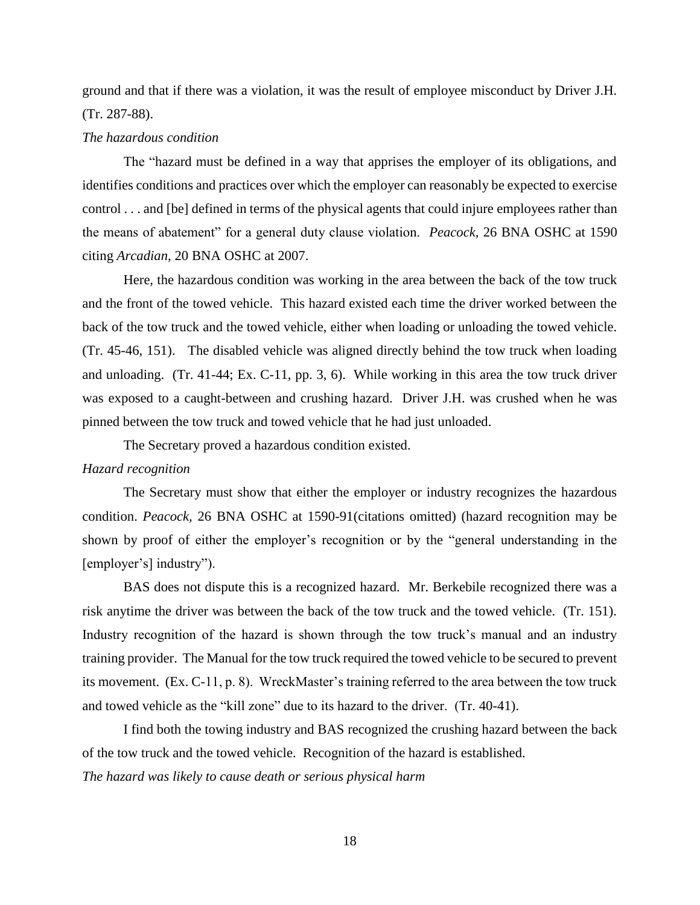ground and that if there was a violation, it was the result of employee misconduct by Driver J.H. (Tr. 287-88).

## *The hazardous condition*

The "hazard must be defined in a way that apprises the employer of its obligations, and identifies conditions and practices over which the employer can reasonably be expected to exercise control . . . and [be] defined in terms of the physical agents that could injure employees rather than the means of abatement" for a general duty clause violation. *Peacock,* 26 BNA OSHC at 1590 citing *Arcadian*, 20 BNA OSHC at 2007.

Here, the hazardous condition was working in the area between the back of the tow truck and the front of the towed vehicle. This hazard existed each time the driver worked between the back of the tow truck and the towed vehicle, either when loading or unloading the towed vehicle. (Tr. 45-46, 151). The disabled vehicle was aligned directly behind the tow truck when loading and unloading. (Tr. 41-44; Ex. C-11, pp. 3, 6). While working in this area the tow truck driver was exposed to a caught-between and crushing hazard. Driver J.H. was crushed when he was pinned between the tow truck and towed vehicle that he had just unloaded.

The Secretary proved a hazardous condition existed.

### *Hazard recognition*

The Secretary must show that either the employer or industry recognizes the hazardous condition. *Peacock,* 26 BNA OSHC at 1590-91(citations omitted) (hazard recognition may be shown by proof of either the employer's recognition or by the "general understanding in the [employer's] industry").

BAS does not dispute this is a recognized hazard. Mr. Berkebile recognized there was a risk anytime the driver was between the back of the tow truck and the towed vehicle. (Tr. 151). Industry recognition of the hazard is shown through the tow truck's manual and an industry training provider. The Manual for the tow truck required the towed vehicle to be secured to prevent its movement. (Ex. C-11, p. 8). WreckMaster's training referred to the area between the tow truck and towed vehicle as the "kill zone" due to its hazard to the driver. (Tr. 40-41).

I find both the towing industry and BAS recognized the crushing hazard between the back of the tow truck and the towed vehicle. Recognition of the hazard is established. *The hazard was likely to cause death or serious physical harm*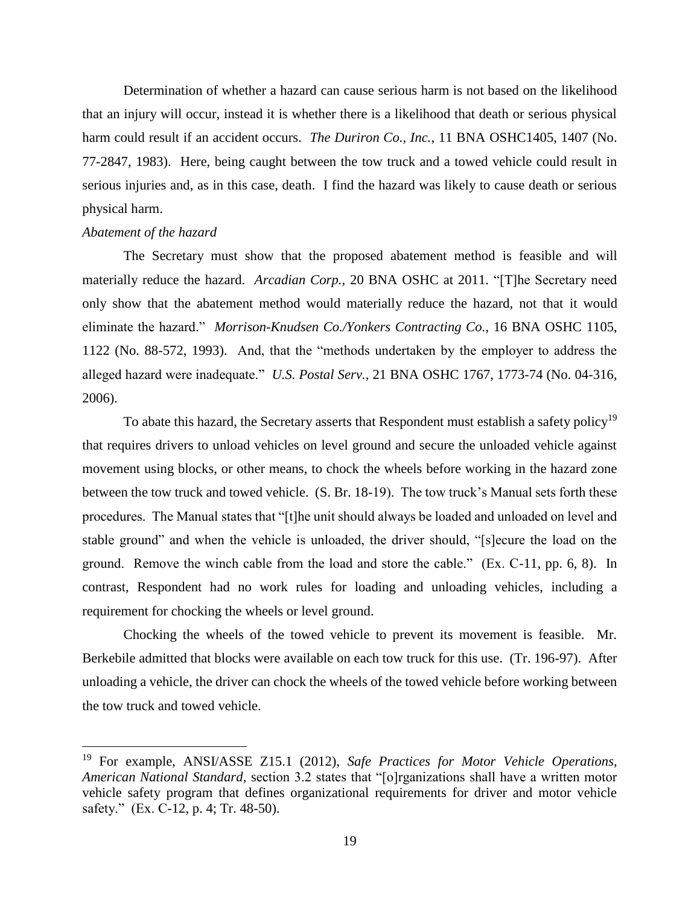Determination of whether a hazard can cause serious harm is not based on the likelihood that an injury will occur, instead it is whether there is a likelihood that death or serious physical harm could result if an accident occurs. *The Duriron Co., Inc.*, 11 BNA OSHC1405, 1407 (No. 77-2847, 1983). Here, being caught between the tow truck and a towed vehicle could result in serious injuries and, as in this case, death. I find the hazard was likely to cause death or serious physical harm.

### *Abatement of the hazard*

 $\overline{\phantom{a}}$ 

The Secretary must show that the proposed abatement method is feasible and will materially reduce the hazard. *Arcadian Corp.,* 20 BNA OSHC at 2011. "[T]he Secretary need only show that the abatement method would materially reduce the hazard, not that it would eliminate the hazard." *Morrison-Knudsen Co./Yonkers Contracting Co.*, 16 BNA OSHC 1105, 1122 (No. 88-572, 1993). And, that the "methods undertaken by the employer to address the alleged hazard were inadequate." *U.S. Postal Serv.,* 21 BNA OSHC 1767, 1773-74 (No. 04-316, 2006).

To abate this hazard, the Secretary asserts that Respondent must establish a safety policy<sup>19</sup> that requires drivers to unload vehicles on level ground and secure the unloaded vehicle against movement using blocks, or other means, to chock the wheels before working in the hazard zone between the tow truck and towed vehicle. (S. Br. 18-19). The tow truck's Manual sets forth these procedures. The Manual states that "[t]he unit should always be loaded and unloaded on level and stable ground" and when the vehicle is unloaded, the driver should, "[s]ecure the load on the ground. Remove the winch cable from the load and store the cable." (Ex. C-11, pp. 6, 8). In contrast, Respondent had no work rules for loading and unloading vehicles, including a requirement for chocking the wheels or level ground.

Chocking the wheels of the towed vehicle to prevent its movement is feasible. Mr. Berkebile admitted that blocks were available on each tow truck for this use. (Tr. 196-97). After unloading a vehicle, the driver can chock the wheels of the towed vehicle before working between the tow truck and towed vehicle.

<sup>19</sup> For example, ANSI/ASSE Z15.1 (2012), *Safe Practices for Motor Vehicle Operations, American National Standard*, section 3.2 states that "[o]rganizations shall have a written motor vehicle safety program that defines organizational requirements for driver and motor vehicle safety." (Ex. C-12, p. 4; Tr. 48-50).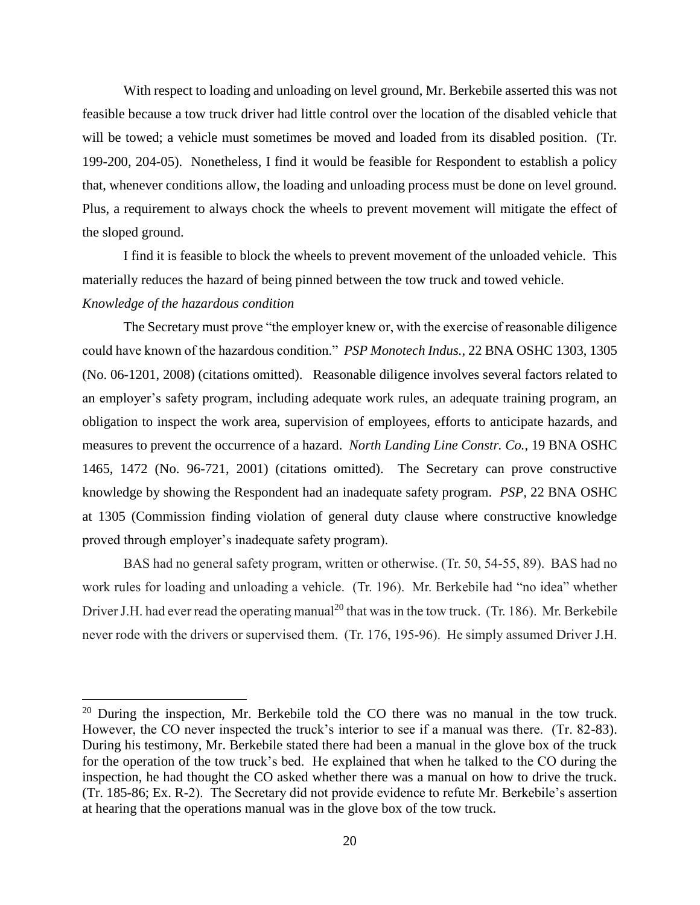With respect to loading and unloading on level ground, Mr. Berkebile asserted this was not feasible because a tow truck driver had little control over the location of the disabled vehicle that will be towed; a vehicle must sometimes be moved and loaded from its disabled position. (Tr. 199-200, 204-05). Nonetheless, I find it would be feasible for Respondent to establish a policy that, whenever conditions allow, the loading and unloading process must be done on level ground. Plus, a requirement to always chock the wheels to prevent movement will mitigate the effect of the sloped ground.

I find it is feasible to block the wheels to prevent movement of the unloaded vehicle. This materially reduces the hazard of being pinned between the tow truck and towed vehicle.

# *Knowledge of the hazardous condition*

 $\overline{a}$ 

The Secretary must prove "the employer knew or, with the exercise of reasonable diligence could have known of the hazardous condition." *PSP Monotech Indus.,* 22 BNA OSHC 1303, 1305 (No. 06-1201, 2008) (citations omitted). Reasonable diligence involves several factors related to an employer's safety program, including adequate work rules, an adequate training program, an obligation to inspect the work area, supervision of employees, efforts to anticipate hazards, and measures to prevent the occurrence of a hazard. *North Landing Line Constr. Co.*, 19 BNA OSHC 1465, 1472 (No. 96-721, 2001) (citations omitted). The Secretary can prove constructive knowledge by showing the Respondent had an inadequate safety program. *PSP,* 22 BNA OSHC at 1305 (Commission finding violation of general duty clause where constructive knowledge proved through employer's inadequate safety program).

BAS had no general safety program, written or otherwise. (Tr. 50, 54-55, 89). BAS had no work rules for loading and unloading a vehicle. (Tr. 196). Mr. Berkebile had "no idea" whether Driver J.H. had ever read the operating manual<sup>20</sup> that was in the tow truck. (Tr. 186). Mr. Berkebile never rode with the drivers or supervised them. (Tr. 176, 195-96). He simply assumed Driver J.H.

 $20$  During the inspection, Mr. Berkebile told the CO there was no manual in the tow truck. However, the CO never inspected the truck's interior to see if a manual was there. (Tr. 82-83). During his testimony, Mr. Berkebile stated there had been a manual in the glove box of the truck for the operation of the tow truck's bed. He explained that when he talked to the CO during the inspection, he had thought the CO asked whether there was a manual on how to drive the truck. (Tr. 185-86; Ex. R-2). The Secretary did not provide evidence to refute Mr. Berkebile's assertion at hearing that the operations manual was in the glove box of the tow truck.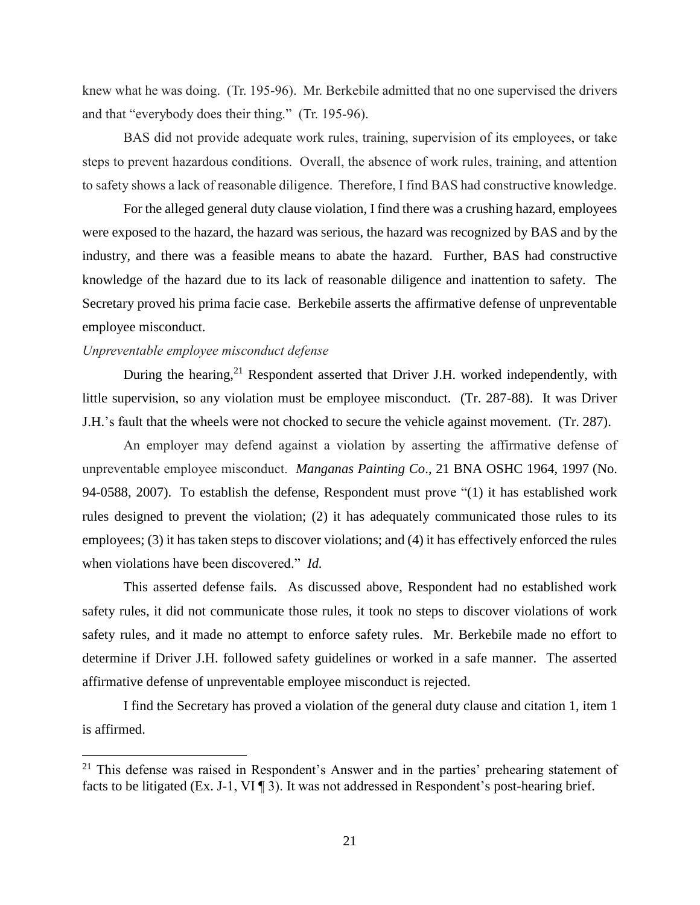knew what he was doing. (Tr. 195-96). Mr. Berkebile admitted that no one supervised the drivers and that "everybody does their thing." (Tr. 195-96).

BAS did not provide adequate work rules, training, supervision of its employees, or take steps to prevent hazardous conditions. Overall, the absence of work rules, training, and attention to safety shows a lack of reasonable diligence. Therefore, I find BAS had constructive knowledge.

For the alleged general duty clause violation, I find there was a crushing hazard, employees were exposed to the hazard, the hazard was serious, the hazard was recognized by BAS and by the industry, and there was a feasible means to abate the hazard. Further, BAS had constructive knowledge of the hazard due to its lack of reasonable diligence and inattention to safety. The Secretary proved his prima facie case. Berkebile asserts the affirmative defense of unpreventable employee misconduct.

## *Unpreventable employee misconduct defense*

l

During the hearing,<sup>21</sup> Respondent asserted that Driver J.H. worked independently, with little supervision, so any violation must be employee misconduct. (Tr. 287-88). It was Driver J.H.'s fault that the wheels were not chocked to secure the vehicle against movement. (Tr. 287).

An employer may defend against a violation by asserting the affirmative defense of unpreventable employee misconduct. *Manganas Painting Co*., 21 BNA OSHC 1964, 1997 (No. 94-0588, 2007). To establish the defense, Respondent must prove "(1) it has established work rules designed to prevent the violation; (2) it has adequately communicated those rules to its employees; (3) it has taken steps to discover violations; and (4) it has effectively enforced the rules when violations have been discovered." *Id.*

This asserted defense fails. As discussed above, Respondent had no established work safety rules, it did not communicate those rules, it took no steps to discover violations of work safety rules, and it made no attempt to enforce safety rules. Mr. Berkebile made no effort to determine if Driver J.H. followed safety guidelines or worked in a safe manner. The asserted affirmative defense of unpreventable employee misconduct is rejected.

I find the Secretary has proved a violation of the general duty clause and citation 1, item 1 is affirmed.

 $21$  This defense was raised in Respondent's Answer and in the parties' prehearing statement of facts to be litigated (Ex. J-1, VI ¶ 3). It was not addressed in Respondent's post-hearing brief.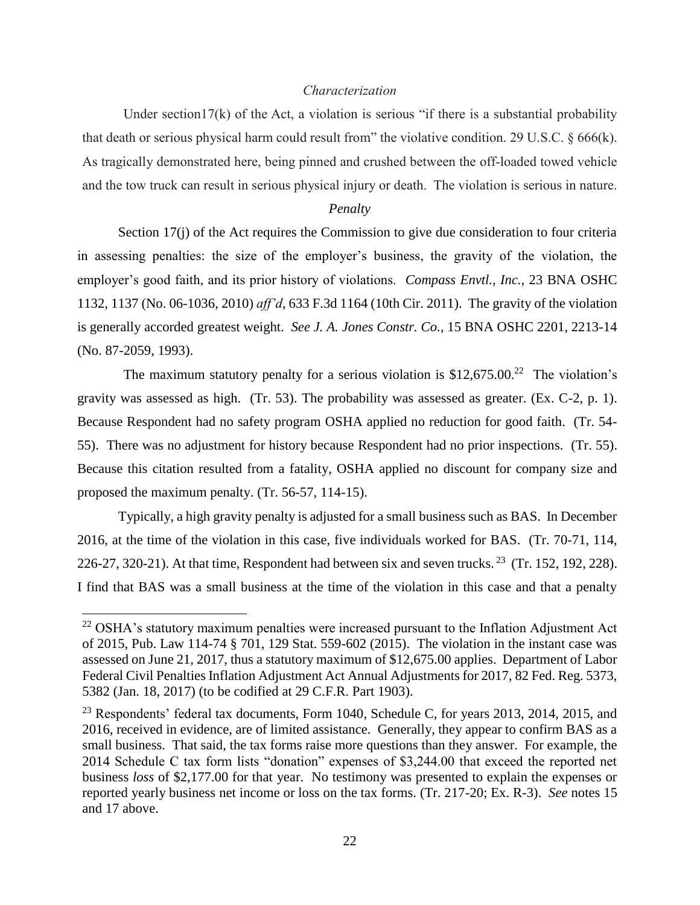## *Characterization*

Under section17(k) of the Act, a violation is serious "if there is a substantial probability that death or serious physical harm could result from" the violative condition. 29 U.S.C. § 666(k). As tragically demonstrated here, being pinned and crushed between the off-loaded towed vehicle and the tow truck can result in serious physical injury or death. The violation is serious in nature.

### *Penalty*

Section 17(j) of the Act requires the Commission to give due consideration to four criteria in assessing penalties: the size of the employer's business, the gravity of the violation, the employer's good faith, and its prior history of violations. *Compass Envtl., Inc.*, 23 BNA OSHC 1132, 1137 (No. 06-1036, 2010) *aff'd*, 633 F.3d 1164 (10th Cir. 2011). The gravity of the violation is generally accorded greatest weight. *See J. A. Jones Constr. Co.*, 15 BNA OSHC 2201, 2213-14 (No. 87-2059, 1993).

The maximum statutory penalty for a serious violation is  $$12,675.00<sup>22</sup>$  The violation's gravity was assessed as high. (Tr. 53). The probability was assessed as greater. (Ex.  $C-2$ , p. 1). Because Respondent had no safety program OSHA applied no reduction for good faith. (Tr. 54- 55). There was no adjustment for history because Respondent had no prior inspections. (Tr. 55). Because this citation resulted from a fatality, OSHA applied no discount for company size and proposed the maximum penalty. (Tr. 56-57, 114-15).

Typically, a high gravity penalty is adjusted for a small business such as BAS. In December 2016, at the time of the violation in this case, five individuals worked for BAS. (Tr. 70-71, 114, 226-27, 320-21). At that time, Respondent had between six and seven trucks. <sup>23</sup> (Tr. 152, 192, 228). I find that BAS was a small business at the time of the violation in this case and that a penalty

 $\overline{a}$ 

 $22$  OSHA's statutory maximum penalties were increased pursuant to the Inflation Adjustment Act of 2015, Pub. Law 114-74 § 701, 129 Stat. 559-602 (2015). The violation in the instant case was assessed on June 21, 2017, thus a statutory maximum of \$12,675.00 applies. Department of Labor Federal Civil Penalties Inflation Adjustment Act Annual Adjustments for 2017, 82 Fed. Reg. 5373, 5382 (Jan. 18, 2017) (to be codified at 29 C.F.R. Part 1903).

 $^{23}$  Respondents' federal tax documents, Form 1040, Schedule C, for years 2013, 2014, 2015, and 2016, received in evidence, are of limited assistance. Generally, they appear to confirm BAS as a small business. That said, the tax forms raise more questions than they answer. For example, the 2014 Schedule C tax form lists "donation" expenses of \$3,244.00 that exceed the reported net business *loss* of \$2,177.00 for that year. No testimony was presented to explain the expenses or reported yearly business net income or loss on the tax forms. (Tr. 217-20; Ex. R-3). *See* notes 15 and 17 above.